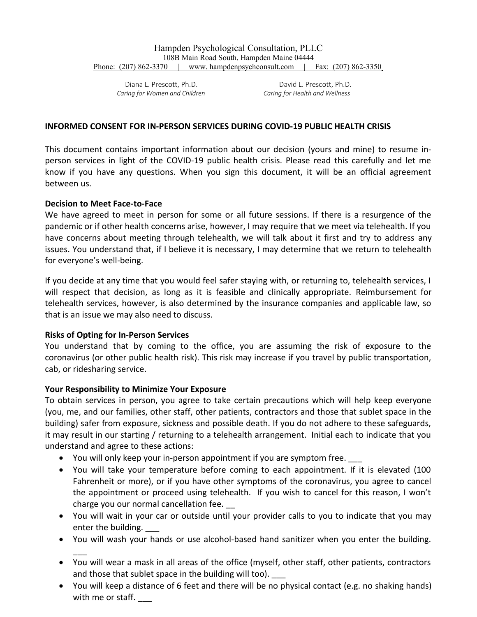#### Hampden Psychological Consultation, PLLC 108B Main Road South, Hampden Maine 04444 Phone: (207) 862-3370 | www. hampdenpsychconsult.com | Fax: (207) 862-3350

*Caring for Women and Children Caring for Health and Wellness*

Diana L. Prescott, Ph.D.<br>
Fina for Women and Children Carloss Caring for Health and Wellness

#### **INFORMED CONSENT FOR IN-PERSON SERVICES DURING COVID-19 PUBLIC HEALTH CRISIS**

This document contains important information about our decision (yours and mine) to resume inperson services in light of the COVID-19 public health crisis. Please read this carefully and let me know if you have any questions. When you sign this document, it will be an official agreement between us.

#### **Decision to Meet Face-to-Face**

We have agreed to meet in person for some or all future sessions. If there is a resurgence of the pandemic or if other health concerns arise, however, I may require that we meet via telehealth. If you have concerns about meeting through telehealth, we will talk about it first and try to address any issues. You understand that, if I believe it is necessary, I may determine that we return to telehealth for everyone's well-being.

If you decide at any time that you would feel safer staying with, or returning to, telehealth services, I will respect that decision, as long as it is feasible and clinically appropriate. Reimbursement for telehealth services, however, is also determined by the insurance companies and applicable law, so that is an issue we may also need to discuss.

### **Risks of Opting for In-Person Services**

 $\overline{\phantom{a}}$ 

You understand that by coming to the office, you are assuming the risk of exposure to the coronavirus (or other public health risk). This risk may increase if you travel by public transportation, cab, or ridesharing service.

#### **Your Responsibility to Minimize Your Exposure**

To obtain services in person, you agree to take certain precautions which will help keep everyone (you, me, and our families, other staff, other patients, contractors and those that sublet space in the building) safer from exposure, sickness and possible death. If you do not adhere to these safeguards, it may result in our starting / returning to a telehealth arrangement. Initial each to indicate that you understand and agree to these actions:

- You will only keep your in-person appointment if you are symptom free.
- You will take your temperature before coming to each appointment. If it is elevated (100 Fahrenheit or more), or if you have other symptoms of the coronavirus, you agree to cancel the appointment or proceed using telehealth. If you wish to cancel for this reason, I won't charge you our normal cancellation fee.
- You will wait in your car or outside until your provider calls to you to indicate that you may enter the building.
- You will wash your hands or use alcohol-based hand sanitizer when you enter the building.
- You will wear a mask in all areas of the office (myself, other staff, other patients, contractors and those that sublet space in the building will too).
- You will keep a distance of 6 feet and there will be no physical contact (e.g. no shaking hands) with me or staff.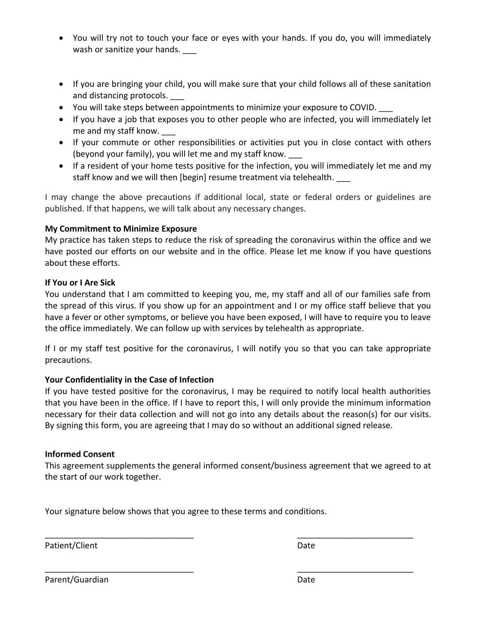- You will try not to touch your face or eyes with your hands. If you do, you will immediately wash or sanitize your hands.
- If you are bringing your child, you will make sure that your child follows all of these sanitation and distancing protocols.
- You will take steps between appointments to minimize your exposure to COVID. \_\_\_
- If you have a job that exposes you to other people who are infected, you will immediately let me and my staff know.
- If your commute or other responsibilities or activities put you in close contact with others (beyond your family), you will let me and my staff know. \_\_\_
- If a resident of your home tests positive for the infection, you will immediately let me and my staff know and we will then [begin] resume treatment via telehealth.

I may change the above precautions if additional local, state or federal orders or guidelines are published. If that happens, we will talk about any necessary changes.

## **My Commitment to Minimize Exposure**

My practice has taken steps to reduce the risk of spreading the coronavirus within the office and we have posted our efforts on our website and in the office. Please let me know if you have questions about these efforts.

# **If You or I Are Sick**

You understand that I am committed to keeping you, me, my staff and all of our families safe from the spread of this virus. If you show up for an appointment and I or my office staff believe that you have a fever or other symptoms, or believe you have been exposed, I will have to require you to leave the office immediately. We can follow up with services by telehealth as appropriate.

If I or my staff test positive for the coronavirus, I will notify you so that you can take appropriate precautions.

## **Your Confidentiality in the Case of Infection**

If you have tested positive for the coronavirus, I may be required to notify local health authorities that you have been in the office. If I have to report this, I will only provide the minimum information necessary for their data collection and will not go into any details about the reason(s) for our visits. By signing this form, you are agreeing that I may do so without an additional signed release.

## **Informed Consent**

This agreement supplements the general informed consent/business agreement that we agreed to at the start of our work together.

\_\_\_\_\_\_\_\_\_\_\_\_\_\_\_\_\_\_\_\_\_\_\_\_\_\_\_\_\_\_\_\_ \_\_\_\_\_\_\_\_\_\_\_\_\_\_\_\_\_\_\_\_\_\_\_\_\_

\_\_\_\_\_\_\_\_\_\_\_\_\_\_\_\_\_\_\_\_\_\_\_\_\_\_\_\_\_\_\_\_ \_\_\_\_\_\_\_\_\_\_\_\_\_\_\_\_\_\_\_\_\_\_\_\_\_

Your signature below shows that you agree to these terms and conditions.

Patient/Client Date

Parent/Guardian Date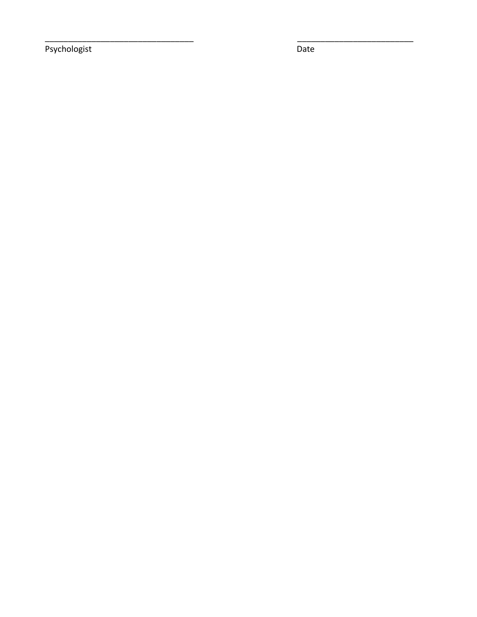Psychologist

Date